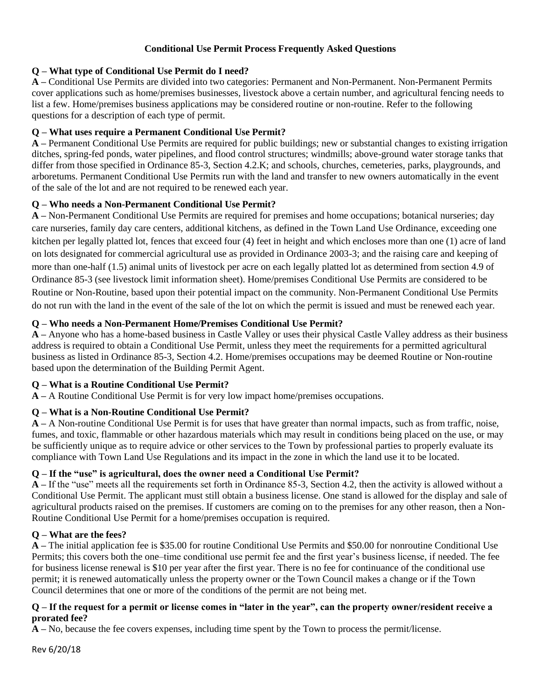## **Conditional Use Permit Process Frequently Asked Questions**

### **Q – What type of Conditional Use Permit do I need?**

**A –** Conditional Use Permits are divided into two categories: Permanent and Non-Permanent. Non-Permanent Permits cover applications such as home/premises businesses, livestock above a certain number, and agricultural fencing needs to list a few. Home/premises business applications may be considered routine or non-routine. Refer to the following questions for a description of each type of permit.

### **Q – What uses require a Permanent Conditional Use Permit?**

**A –** Permanent Conditional Use Permits are required for public buildings; new or substantial changes to existing irrigation ditches, spring-fed ponds, water pipelines, and flood control structures; windmills; above-ground water storage tanks that differ from those specified in Ordinance 85-3, Section 4.2.K; and schools, churches, cemeteries, parks, playgrounds, and arboretums. Permanent Conditional Use Permits run with the land and transfer to new owners automatically in the event of the sale of the lot and are not required to be renewed each year.

### **Q – Who needs a Non-Permanent Conditional Use Permit?**

**A –** Non-Permanent Conditional Use Permits are required for premises and home occupations; botanical nurseries; day care nurseries, family day care centers, additional kitchens, as defined in the Town Land Use Ordinance, exceeding one kitchen per legally platted lot, fences that exceed four (4) feet in height and which encloses more than one (1) acre of land on lots designated for commercial agricultural use as provided in Ordinance 2003-3; and the raising care and keeping of more than one-half (1.5) animal units of livestock per acre on each legally platted lot as determined from section 4.9 of Ordinance 85-3 (see livestock limit information sheet). Home/premises Conditional Use Permits are considered to be Routine or Non-Routine, based upon their potential impact on the community. Non-Permanent Conditional Use Permits do not run with the land in the event of the sale of the lot on which the permit is issued and must be renewed each year.

### **Q – Who needs a Non-Permanent Home/Premises Conditional Use Permit?**

**A –** Anyone who has a home-based business in Castle Valley or uses their physical Castle Valley address as their business address is required to obtain a Conditional Use Permit, unless they meet the requirements for a permitted agricultural business as listed in Ordinance 85-3, Section 4.2. Home/premises occupations may be deemed Routine or Non-routine based upon the determination of the Building Permit Agent.

# **Q – What is a Routine Conditional Use Permit?**

**A –** A Routine Conditional Use Permit is for very low impact home/premises occupations.

# **Q – What is a Non-Routine Conditional Use Permit?**

**A –** A Non-routine Conditional Use Permit is for uses that have greater than normal impacts, such as from traffic, noise, fumes, and toxic, flammable or other hazardous materials which may result in conditions being placed on the use, or may be sufficiently unique as to require advice or other services to the Town by professional parties to properly evaluate its compliance with Town Land Use Regulations and its impact in the zone in which the land use it to be located.

# **Q – If the "use" is agricultural, does the owner need a Conditional Use Permit?**

**A –** If the "use" meets all the requirements set forth in Ordinance 85-3, Section 4.2, then the activity is allowed without a Conditional Use Permit. The applicant must still obtain a business license. One stand is allowed for the display and sale of agricultural products raised on the premises. If customers are coming on to the premises for any other reason, then a Non-Routine Conditional Use Permit for a home/premises occupation is required.

# **Q – What are the fees?**

**A –** The initial application fee is \$35.00 for routine Conditional Use Permits and \$50.00 for nonroutine Conditional Use Permits; this covers both the one–time conditional use permit fee and the first year's business license, if needed. The fee for business license renewal is \$10 per year after the first year. There is no fee for continuance of the conditional use permit; it is renewed automatically unless the property owner or the Town Council makes a change or if the Town Council determines that one or more of the conditions of the permit are not being met.

#### **Q – If the request for a permit or license comes in "later in the year", can the property owner/resident receive a prorated fee?**

**A –** No, because the fee covers expenses, including time spent by the Town to process the permit/license.

Rev 6/20/18